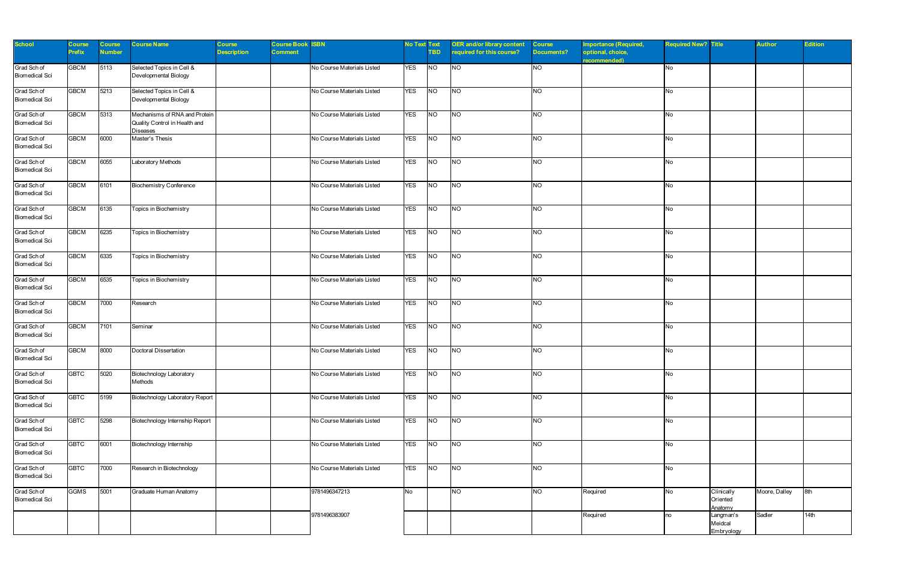| <b>School</b>                        | Course        | Course | <b>Course Name</b>                                                                | Course             | <b>Course Book</b> | <b>ISBN</b>                | <b>No Text Text</b> |            | <b>OER and/or library content</b> | <b>Course</b> | <b>Importance (Required,</b>      | <b>Required New? Title</b> |                                    | <b>Author</b> | <b>Edition</b> |
|--------------------------------------|---------------|--------|-----------------------------------------------------------------------------------|--------------------|--------------------|----------------------------|---------------------|------------|-----------------------------------|---------------|-----------------------------------|----------------------------|------------------------------------|---------------|----------------|
|                                      | <b>Prefix</b> | Number |                                                                                   | <b>Description</b> | <b>Comment</b>     |                            |                     | <b>TBD</b> | equired for this course?          | Documents?    | optional, choice,<br>recommended) |                            |                                    |               |                |
| Grad Sch of<br><b>Biomedical Sci</b> | <b>GBCM</b>   | 5113   | Selected Topics in Cell &<br>Developmental Biology                                |                    |                    | No Course Materials Listed | <b>YES</b>          | <b>NO</b>  | <b>NO</b>                         | <b>NO</b>     |                                   | No                         |                                    |               |                |
| Grad Sch of<br><b>Biomedical Sci</b> | <b>GBCM</b>   | 5213   | Selected Topics in Cell &<br>Developmental Biology                                |                    |                    | No Course Materials Listed | <b>YES</b>          | <b>NO</b>  | <b>NO</b>                         | <b>NO</b>     |                                   | No                         |                                    |               |                |
| Grad Sch of<br><b>Biomedical Sci</b> | <b>GBCM</b>   | 5313   | Mechanisms of RNA and Protein<br>Quality Control in Health and<br><b>Diseases</b> |                    |                    | No Course Materials Listed | <b>YES</b>          | NO         | <b>NO</b>                         | <b>NO</b>     |                                   | No                         |                                    |               |                |
| Grad Sch of<br><b>Biomedical Sci</b> | <b>GBCM</b>   | 6000   | Master's Thesis                                                                   |                    |                    | No Course Materials Listed | <b>YES</b>          | <b>NO</b>  | <b>NO</b>                         | <b>NO</b>     |                                   | No                         |                                    |               |                |
| Grad Sch of<br><b>Biomedical Sci</b> | <b>GBCM</b>   | 6055   | Laboratory Methods                                                                |                    |                    | No Course Materials Listed | <b>YES</b>          | <b>NO</b>  | <b>NO</b>                         | <b>NO</b>     |                                   | No                         |                                    |               |                |
| Grad Sch of<br><b>Biomedical Sci</b> | <b>GBCM</b>   | 6101   | <b>Biochemistry Conference</b>                                                    |                    |                    | No Course Materials Listed | <b>YES</b>          | NO         | <b>NO</b>                         | <b>NO</b>     |                                   | No                         |                                    |               |                |
| Grad Sch of<br><b>Biomedical Sci</b> | <b>GBCM</b>   | 6135   | Topics in Biochemistry                                                            |                    |                    | No Course Materials Listed | <b>YES</b>          | <b>NO</b>  | <b>NO</b>                         | <b>NO</b>     |                                   | No                         |                                    |               |                |
| Grad Sch of<br><b>Biomedical Sci</b> | <b>GBCM</b>   | 6235   | Topics in Biochemistry                                                            |                    |                    | No Course Materials Listed | <b>YES</b>          | <b>NO</b>  | <b>NO</b>                         | <b>NO</b>     |                                   | No                         |                                    |               |                |
| Grad Sch of<br><b>Biomedical Sci</b> | <b>GBCM</b>   | 6335   | Topics in Biochemistry                                                            |                    |                    | No Course Materials Listed | <b>YES</b>          | NO         | <b>NO</b>                         | <b>NO</b>     |                                   | No                         |                                    |               |                |
| Grad Sch of<br><b>Biomedical Sci</b> | <b>GBCM</b>   | 6535   | Topics in Biochemistry                                                            |                    |                    | No Course Materials Listed | <b>YES</b>          | <b>NO</b>  | <b>NO</b>                         | <b>NO</b>     |                                   | No                         |                                    |               |                |
| Grad Sch of<br><b>Biomedical Sci</b> | <b>GBCM</b>   | 7000   | Research                                                                          |                    |                    | No Course Materials Listed | <b>YES</b>          | <b>NO</b>  | <b>NO</b>                         | <b>NO</b>     |                                   | No                         |                                    |               |                |
| Grad Sch of<br><b>Biomedical Sci</b> | <b>GBCM</b>   | 7101   | Seminar                                                                           |                    |                    | No Course Materials Listed | <b>YES</b>          | NO         | <b>NO</b>                         | <b>NO</b>     |                                   | No                         |                                    |               |                |
| Grad Sch of<br><b>Biomedical Sci</b> | <b>GBCM</b>   | 8000   | Doctoral Dissertation                                                             |                    |                    | No Course Materials Listed | <b>YES</b>          | <b>NO</b>  | <b>NO</b>                         | <b>NO</b>     |                                   | No                         |                                    |               |                |
| Grad Sch of<br><b>Biomedical Sci</b> | <b>GBTC</b>   | 5020   | <b>Biotechnology Laboratory</b><br>Methods                                        |                    |                    | No Course Materials Listed | <b>YES</b>          | <b>NO</b>  | <b>NO</b>                         | <b>NO</b>     |                                   | No                         |                                    |               |                |
| Grad Sch of<br><b>Biomedical Sci</b> | <b>GBTC</b>   | 5199   | Biotechnology Laboratory Report                                                   |                    |                    | No Course Materials Listed | <b>YES</b>          | <b>NO</b>  | <b>NO</b>                         | <b>NO</b>     |                                   | No                         |                                    |               |                |
| Grad Sch of<br><b>Biomedical Sci</b> | <b>GBTC</b>   | 5298   | Biotechnology Internship Report                                                   |                    |                    | No Course Materials Listed | <b>YES</b>          | <b>NO</b>  | N                                 | <b>NO</b>     |                                   | No                         |                                    |               |                |
| Grad Sch of<br><b>Biomedical Sci</b> | <b>GBTC</b>   | 6001   | Biotechnology Internship                                                          |                    |                    | No Course Materials Listed | <b>YES</b>          | N          | NO                                | <b>NO</b>     |                                   | No                         |                                    |               |                |
| Grad Sch of<br><b>Biomedical Sci</b> | <b>GBTC</b>   | 7000   | Research in Biotechnology                                                         |                    |                    | No Course Materials Listed | <b>YES</b>          | <b>NO</b>  | <b>NO</b>                         | <b>NO</b>     |                                   | No                         |                                    |               |                |
| Grad Sch of<br><b>Biomedical Sci</b> | <b>GGMS</b>   | 5001   | Graduate Human Anatomy                                                            |                    |                    | 9781496347213              | No                  |            | N                                 | <b>NO</b>     | Required                          | No                         | Clinically<br>Oriented<br>Anatomy  | Moore, Dalley | 8th            |
|                                      |               |        |                                                                                   |                    |                    | 9781496383907              |                     |            |                                   |               | Required                          | no                         | Langman's<br>Meidcal<br>Embryology | Sadler        | 14th           |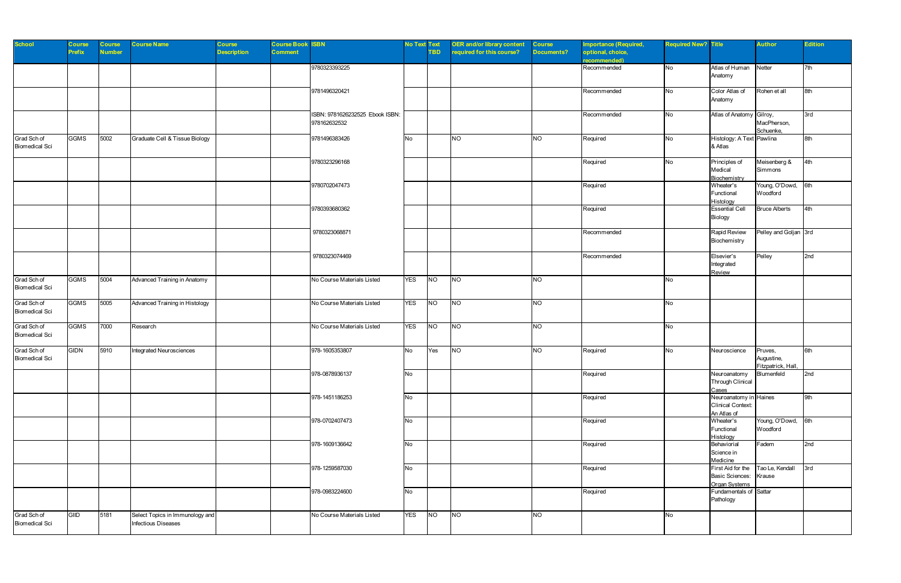| <b>School</b>                        | <b>Course</b><br>Prefix | <b>Course</b><br><b>Number</b> | <b>Course Name</b>                                     | <b>Course</b><br><b>Description</b> | <b>Course Book ISBN</b><br>Comment |                                                 | <b>No Text Text</b> | TBD.             | <b>OER and/or library content</b><br>required for this course? | <b>Course</b><br><b>Documents?</b> | mportance (Required,<br>optional, choice,<br>ecommended) | <b>Required New? Title</b> |                                                                   | <b>Author</b>                               | <b>Edition</b> |
|--------------------------------------|-------------------------|--------------------------------|--------------------------------------------------------|-------------------------------------|------------------------------------|-------------------------------------------------|---------------------|------------------|----------------------------------------------------------------|------------------------------------|----------------------------------------------------------|----------------------------|-------------------------------------------------------------------|---------------------------------------------|----------------|
|                                      |                         |                                |                                                        |                                     |                                    | 9780323393225                                   |                     |                  |                                                                |                                    | Recommended                                              | No                         | Atlas of Human Netter<br>Anatomy                                  |                                             | 7th            |
|                                      |                         |                                |                                                        |                                     |                                    | 9781496320421                                   |                     |                  |                                                                |                                    | Recommended                                              | No                         | Color Atlas of<br>Anatomy                                         | Rohen et all                                | 8th            |
|                                      |                         |                                |                                                        |                                     |                                    | ISBN: 9781626232525 Ebook ISBN:<br>978162632532 |                     |                  |                                                                |                                    | Recommended                                              | No                         | Atlas of Anatomy Gilroy,                                          | MacPherson,<br>Schuenke,                    | 3rd            |
| Grad Sch of<br><b>Biomedical Sci</b> | <b>GGMS</b>             | 5002                           | Graduate Cell & Tissue Biology                         |                                     |                                    | 9781496383426                                   | No                  |                  | N                                                              | <b>NO</b>                          | Required                                                 | <b>No</b>                  | Histology: A Text Pawlina<br>& Atlas                              |                                             | 8th            |
|                                      |                         |                                |                                                        |                                     |                                    | 9780323296168                                   |                     |                  |                                                                |                                    | Required                                                 | No                         | Principles of<br>Medical<br>Biochemistry                          | Meisenberg &<br>Simmons                     | 4th            |
|                                      |                         |                                |                                                        |                                     |                                    | 9780702047473                                   |                     |                  |                                                                |                                    | Required                                                 |                            | Wheater's<br>Functional<br>Histology                              | Young, O'Dowd, 6th<br>Woodford              |                |
|                                      |                         |                                |                                                        |                                     |                                    | 9780393680362                                   |                     |                  |                                                                |                                    | Required                                                 |                            | <b>Essential Cell</b><br>Biology                                  | <b>Bruce Alberts</b>                        | 4th            |
|                                      |                         |                                |                                                        |                                     |                                    | 9780323068871                                   |                     |                  |                                                                |                                    | Recommended                                              |                            | Rapid Review<br>Biochemistry                                      | Pelley and Goljan 3rd                       |                |
|                                      |                         |                                |                                                        |                                     |                                    | 9780323074469                                   |                     |                  |                                                                |                                    | Recommended                                              |                            | Elsevier's<br>Integrated<br>Review                                | Pelley                                      | 2nd            |
| Grad Sch of<br><b>Biomedical Sci</b> | <b>GGMS</b>             | 5004                           | Advanced Training in Anatomy                           |                                     |                                    | No Course Materials Listed                      | <b>YES</b>          | NO               | <b>NO</b>                                                      | <b>NO</b>                          |                                                          | <b>No</b>                  |                                                                   |                                             |                |
| Grad Sch of<br><b>Biomedical Sci</b> | <b>GGMS</b>             | 5005                           | Advanced Training in Histology                         |                                     |                                    | No Course Materials Listed                      | <b>YES</b>          | <b>NO</b>        | <b>NO</b>                                                      | <b>NO</b>                          |                                                          | No                         |                                                                   |                                             |                |
| Grad Sch of<br><b>Biomedical Sci</b> | <b>GGMS</b>             | 7000                           | Research                                               |                                     |                                    | No Course Materials Listed                      | YES                 | $N$ <sup>O</sup> | NO                                                             | N                                  |                                                          | No                         |                                                                   |                                             |                |
| Grad Sch of<br><b>Biomedical Sci</b> | <b>GIDN</b>             | 5910                           | Integrated Neurosciences                               |                                     |                                    | 978-1605353807                                  | No                  | Yes              | N                                                              | <b>NO</b>                          | Required                                                 | <b>No</b>                  | Neuroscience                                                      | Pruves,<br>Augustine,<br>Fitzpatrick, Hall, | 6th            |
|                                      |                         |                                |                                                        |                                     |                                    | 978-0878936137                                  | No                  |                  |                                                                |                                    | Required                                                 |                            | Neuroanatomy<br>Through Clinical<br>Cases                         | Blumenfeld                                  | 2nd            |
|                                      |                         |                                |                                                        |                                     |                                    | 978-1451186253                                  | No                  |                  |                                                                |                                    | Required                                                 |                            | Neuroanatomy in Haines<br><b>Clinical Context:</b><br>An Atlas of |                                             | 9th            |
|                                      |                         |                                |                                                        |                                     |                                    | 978-0702407473                                  | No                  |                  |                                                                |                                    | Required                                                 |                            | Wheater's<br>Functional<br>Histology                              | Young, O'Dowd, 6th<br>Woodford              |                |
|                                      |                         |                                |                                                        |                                     |                                    | 978-1609136642                                  | No                  |                  |                                                                |                                    | Required                                                 |                            | Behaviorial<br>Science in<br>Medicine                             | Fadem                                       | 2nd            |
|                                      |                         |                                |                                                        |                                     |                                    | 978-1259587030                                  | No                  |                  |                                                                |                                    | Required                                                 |                            | First Aid for the<br><b>Basic Sciences:</b><br>Organ Systems      | Tao Le, Kendall<br>Krause                   | 3rd            |
|                                      |                         |                                |                                                        |                                     |                                    | 978-0983224600                                  | No                  |                  |                                                                |                                    | Required                                                 |                            | Fundamentals of Sattar<br>Pathology                               |                                             |                |
| Grad Sch of<br><b>Biomedical Sci</b> | GIID                    | 5181                           | Select Topics in Immunology and<br>Infectious Diseases |                                     |                                    | No Course Materials Listed                      | <b>YES</b>          | $N$ <sup>O</sup> | $N$ O                                                          | <b>NO</b>                          |                                                          | No                         |                                                                   |                                             |                |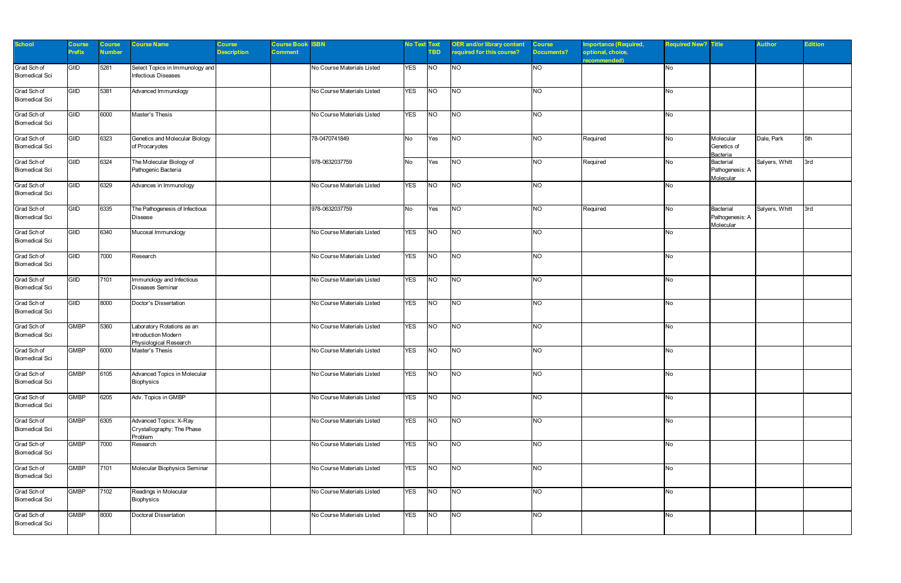| <b>School</b>                        | Course<br><b>Prefix</b> | Course<br><b>Number</b> | <b>Course Name</b>                                                          | Course<br><b>Description</b> | <b>Course Book</b><br><b>Comment</b> | <b>ISBN</b>                | <b>No Text Text</b> | <b>TBD</b> | <b>OER and/or library content</b><br>equired for this course? | <b>Course</b><br>Documents? | <b>Importance (Required,</b><br>optional, choice, | <b>Required New? Title</b> |                                           | <b>Author</b>  | <b>Edition</b> |
|--------------------------------------|-------------------------|-------------------------|-----------------------------------------------------------------------------|------------------------------|--------------------------------------|----------------------------|---------------------|------------|---------------------------------------------------------------|-----------------------------|---------------------------------------------------|----------------------------|-------------------------------------------|----------------|----------------|
| Grad Sch of<br><b>Biomedical Sci</b> | GIID                    | 5281                    | Select Topics in Immunology and<br>Infectious Diseases                      |                              |                                      | No Course Materials Listed | <b>YES</b>          | <b>NO</b>  | <b>NO</b>                                                     | <b>NO</b>                   | recommended)                                      | <b>No</b>                  |                                           |                |                |
| Grad Sch of<br><b>Biomedical Sci</b> | <b>GIID</b>             | 5381                    | Advanced Immunology                                                         |                              |                                      | No Course Materials Listed | <b>YES</b>          | <b>NO</b>  | <b>NO</b>                                                     | <b>NO</b>                   |                                                   | No                         |                                           |                |                |
| Grad Sch of<br><b>Biomedical Sci</b> | GIID                    | 6000                    | Master's Thesis                                                             |                              |                                      | No Course Materials Listed | <b>YES</b>          | NO         | <b>NO</b>                                                     | <b>NO</b>                   |                                                   | No                         |                                           |                |                |
| Grad Sch of<br><b>Biomedical Sci</b> | GIID                    | 6323                    | Genetics and Molecular Biology<br>of Procaryotes                            |                              |                                      | 78-0470741849              | <b>No</b>           | Yes        | <b>NO</b>                                                     | <b>NO</b>                   | Required                                          | <b>No</b>                  | Molecular<br>Genetics of<br>Bacteria      | Dale, Park     | 5th            |
| Grad Sch of<br><b>Biomedical Sci</b> | <b>GIID</b>             | 6324                    | The Molecular Biology of<br>Pathogenic Bacteria                             |                              |                                      | 978-0632037759             | No.                 | Yes        | <b>NO</b>                                                     | <b>NO</b>                   | Required                                          | No                         | Bacterial<br>Pathogenesis: A<br>Molecular | Salyers, Whitt | 3rd            |
| Grad Sch of<br><b>Biomedical Sci</b> | GIID                    | 6329                    | Advances in Immunology                                                      |                              |                                      | No Course Materials Listed | <b>YES</b>          | NO         | NO                                                            | <b>NO</b>                   |                                                   | No                         |                                           |                |                |
| Grad Sch of<br><b>Biomedical Sci</b> | GIID                    | 6335                    | The Pathogenesis of Infectious<br><b>Disease</b>                            |                              |                                      | 978-0632037759             | <b>No</b>           | Yes        | N                                                             | <b>NO</b>                   | Required                                          | No                         | Bacterial<br>Pathogenesis: A<br>Molecular | Salyers, Whitt | 3rd            |
| Grad Sch of<br><b>Biomedical Sci</b> | GIID                    | 6340                    | Mucosal Immunology                                                          |                              |                                      | No Course Materials Listed | <b>YES</b>          | <b>NO</b>  | <b>NO</b>                                                     | <b>NO</b>                   |                                                   | No                         |                                           |                |                |
| Grad Sch of<br><b>Biomedical Sci</b> | GIID                    | 7000                    | Research                                                                    |                              |                                      | No Course Materials Listed | <b>YES</b>          | NO         | NO                                                            | <b>NO</b>                   |                                                   | No                         |                                           |                |                |
| Grad Sch of<br><b>Biomedical Sci</b> | GIID                    | 7101                    | Immunology and Infectious<br><b>Diseases Seminar</b>                        |                              |                                      | No Course Materials Listed | <b>YES</b>          | <b>NO</b>  | N                                                             | NO                          |                                                   | No                         |                                           |                |                |
| Grad Sch of<br><b>Biomedical Sci</b> | GIID                    | 8000                    | Doctor's Dissertation                                                       |                              |                                      | No Course Materials Listed | <b>YES</b>          | <b>NO</b>  | <b>NO</b>                                                     | <b>NO</b>                   |                                                   | No                         |                                           |                |                |
| Grad Sch of<br><b>Biomedical Sci</b> | <b>GMBP</b>             | 5360                    | Laboratory Rotations as an<br>Introduction Modern<br>Physiological Research |                              |                                      | No Course Materials Listed | <b>YES</b>          | NO         | <b>NO</b>                                                     | <b>NO</b>                   |                                                   | No                         |                                           |                |                |
| Grad Sch of<br><b>Biomedical Sci</b> | <b>GMBP</b>             | 6000                    | Master's Thesis                                                             |                              |                                      | No Course Materials Listed | <b>YES</b>          | <b>NO</b>  | <b>NO</b>                                                     | <b>NO</b>                   |                                                   | No                         |                                           |                |                |
| Grad Sch of<br><b>Biomedical Sci</b> | <b>GMBP</b>             | 6105                    | Advanced Topics in Molecular<br>Biophysics                                  |                              |                                      | No Course Materials Listed | <b>YES</b>          | <b>NO</b>  | <b>NO</b>                                                     | <b>NO</b>                   |                                                   | No                         |                                           |                |                |
| Grad Sch of<br><b>Biomedical Sci</b> | <b>GMBP</b>             | 6205                    | Adv. Topics in GMBP                                                         |                              |                                      | No Course Materials Listed | <b>YES</b>          | <b>NO</b>  | <b>NO</b>                                                     | <b>NO</b>                   |                                                   | No                         |                                           |                |                |
| Grad Sch of<br><b>Biomedical Sci</b> | <b>GMBP</b>             | 6305                    | Advanced Topics: X-Ray<br>Crystallography: The Phase<br>Problem             |                              |                                      | No Course Materials Listed | <b>YES</b>          | <b>NO</b>  | N                                                             | NO                          |                                                   | No                         |                                           |                |                |
| Grad Sch of<br><b>Biomedical Sci</b> | <b>GMBP</b>             | 7000                    | Research                                                                    |                              |                                      | No Course Materials Listed | <b>YES</b>          | N          | $\overline{10}$                                               | <b>NO</b>                   |                                                   | No                         |                                           |                |                |
| Grad Sch of<br><b>Biomedical Sci</b> | <b>GMBP</b>             | 7101                    | Molecular Biophysics Seminar                                                |                              |                                      | No Course Materials Listed | <b>YES</b>          | <b>NO</b>  | $\overline{3}$                                                | <b>NO</b>                   |                                                   | No                         |                                           |                |                |
| Grad Sch of<br><b>Biomedical Sci</b> | <b>GMBP</b>             | 7102                    | Readings in Molecular<br>Biophysics                                         |                              |                                      | No Course Materials Listed | <b>YES</b>          | <b>NO</b>  | N                                                             | NO                          |                                                   | No                         |                                           |                |                |
| Grad Sch of<br><b>Biomedical Sci</b> | <b>GMBP</b>             | 8000                    | Doctoral Dissertation                                                       |                              |                                      | No Course Materials Listed | <b>YES</b>          | N          | $\overline{10}$                                               | <b>NO</b>                   |                                                   | No                         |                                           |                |                |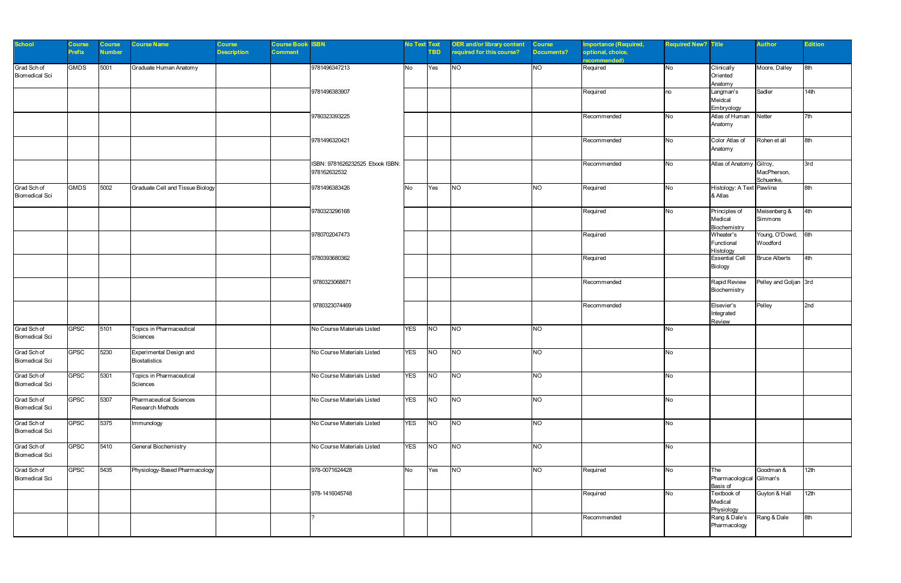| <b>School</b>                        | Course<br><b>Prefix</b> | <b>Course</b><br><b>Number</b> | <b>Course Name</b>                                 | Course<br><b>Description</b> | <b>Course Book ISBN</b><br>Comment |                                                 | <b>No Text Text</b> | <b>TBD</b>     | <b>OER</b> and/or library content<br>required for this course? | <b>Course</b><br>Documents? | <b>Importance (Required,</b><br>optional, choice,<br>recommended) | <b>Required New? Title</b> |                                             | <b>Author</b>                  | <b>Edition</b> |
|--------------------------------------|-------------------------|--------------------------------|----------------------------------------------------|------------------------------|------------------------------------|-------------------------------------------------|---------------------|----------------|----------------------------------------------------------------|-----------------------------|-------------------------------------------------------------------|----------------------------|---------------------------------------------|--------------------------------|----------------|
| Grad Sch of<br><b>Biomedical Sci</b> | <b>GMDS</b>             | 5001                           | Graduate Human Anatomy                             |                              |                                    | 9781496347213                                   | <b>No</b>           | Yes            | <b>NO</b>                                                      | <b>NO</b>                   | Required                                                          | <b>No</b>                  | Clinically<br>Oriented<br>Anatomy           | Moore, Dalley                  | 8th            |
|                                      |                         |                                |                                                    |                              |                                    | 9781496383907                                   |                     |                |                                                                |                             | Required                                                          | no                         | Langman's<br>Meidcal<br>Embryology          | Sadler                         | 14th           |
|                                      |                         |                                |                                                    |                              |                                    | 9780323393225                                   |                     |                |                                                                |                             | Recommended                                                       | No                         | Atlas of Human<br>Anatomy                   | Netter                         | 7th            |
|                                      |                         |                                |                                                    |                              |                                    | 9781496320421                                   |                     |                |                                                                |                             | Recommended                                                       | No                         | Color Atlas of<br>Anatomy                   | Rohen et all                   | 8th            |
|                                      |                         |                                |                                                    |                              |                                    | ISBN: 9781626232525 Ebook ISBN:<br>978162632532 |                     |                |                                                                |                             | Recommended                                                       | No                         | Atlas of Anatomy Gilroy,                    | MacPherson,<br>Schuenke,       | 3rd            |
| Grad Sch of<br><b>Biomedical Sci</b> | <b>GMDS</b>             | 5002                           | Graduate Cell and Tissue Biology                   |                              |                                    | 9781496383426                                   | <b>No</b>           | Yes            | <b>NO</b>                                                      | <b>NO</b>                   | Required                                                          | No                         | Histology: A Text Pawlina<br>& Atlas        |                                | 8th            |
|                                      |                         |                                |                                                    |                              |                                    | 9780323296168                                   |                     |                |                                                                |                             | Required                                                          | No                         | Principles of<br>Medical<br>Biochemistry    | Meisenberg &<br>Simmons        | 4th            |
|                                      |                         |                                |                                                    |                              |                                    | 9780702047473                                   |                     |                |                                                                |                             | Required                                                          |                            | Wheater's<br>Functional<br>Histology        | Young, O'Dowd, 6th<br>Woodford |                |
|                                      |                         |                                |                                                    |                              |                                    | 9780393680362                                   |                     |                |                                                                |                             | Required                                                          |                            | <b>Essential Cell</b><br>Biology            | <b>Bruce Alberts</b>           | 4th            |
|                                      |                         |                                |                                                    |                              |                                    | 9780323068871                                   |                     |                |                                                                |                             | Recommended                                                       |                            | Rapid Review<br>Biochemistry                | Pelley and Goljan 3rd          |                |
|                                      |                         |                                |                                                    |                              |                                    | 9780323074469                                   |                     |                |                                                                |                             | Recommended                                                       |                            | Elsevier's<br>Integrated<br>Review          | Pelley                         | 2nd            |
| Grad Sch of<br><b>Biomedical Sci</b> | <b>GPSC</b>             | 5101                           | Topics in Pharmaceutical<br>Sciences               |                              |                                    | No Course Materials Listed                      | <b>YES</b>          | <b>NO</b>      | <b>NO</b>                                                      | <b>NO</b>                   |                                                                   | No                         |                                             |                                |                |
| Grad Sch of<br><b>Biomedical Sci</b> | <b>GPSC</b>             | 5230                           | Experimental Design and<br><b>Biostatistics</b>    |                              |                                    | No Course Materials Listed                      | <b>YES</b>          | <b>NO</b>      | NO                                                             | <b>NO</b>                   |                                                                   | No                         |                                             |                                |                |
| Grad Sch of<br><b>Biomedical Sci</b> | <b>GPSC</b>             | 5301                           | Topics in Pharmaceutical<br>Sciences               |                              |                                    | No Course Materials Listed                      | <b>YES</b>          | <b>NO</b>      | <b>NO</b>                                                      | <b>NO</b>                   |                                                                   | No                         |                                             |                                |                |
| Grad Sch of<br><b>Biomedical Sci</b> | <b>GPSC</b>             | 5307                           | <b>Pharmaceutical Sciences</b><br>Research Methods |                              |                                    | No Course Materials Listed                      | <b>YES</b>          | N <sub>O</sub> | N                                                              | <b>NO</b>                   |                                                                   | No                         |                                             |                                |                |
| Grad Sch of<br><b>Biomedical Sci</b> | <b>GPSC</b>             | 5375                           | Immunology                                         |                              |                                    | No Course Materials Listed                      | <b>YES</b>          | N              | N                                                              | <b>NO</b>                   |                                                                   | No                         |                                             |                                |                |
| Grad Sch of<br><b>Biomedical Sci</b> | <b>GPSC</b>             | 5410                           | General Biochemistry                               |                              |                                    | No Course Materials Listed                      | <b>YES</b>          | <b>NO</b>      | <b>NO</b>                                                      | <b>NO</b>                   |                                                                   | No                         |                                             |                                |                |
| Grad Sch of<br><b>Biomedical Sci</b> | <b>GPSC</b>             | 5435                           | Physiology-Based Pharmacology                      |                              |                                    | 978-0071624428                                  | <b>No</b>           | Yes            | <b>NO</b>                                                      | <b>NO</b>                   | Required                                                          | No                         | The<br>Pharmacological Gilman's<br>Basis of | Goodman &                      | 12th           |
|                                      |                         |                                |                                                    |                              |                                    | 978-1416045748                                  |                     |                |                                                                |                             | Required                                                          | No                         | Textbook of<br>Medical<br>Physiology        | Guyton & Hall                  | 12th           |
|                                      |                         |                                |                                                    |                              |                                    |                                                 |                     |                |                                                                |                             | Recommended                                                       |                            | Rang & Dale's<br>Pharmacology               | Rang & Dale                    | 8th            |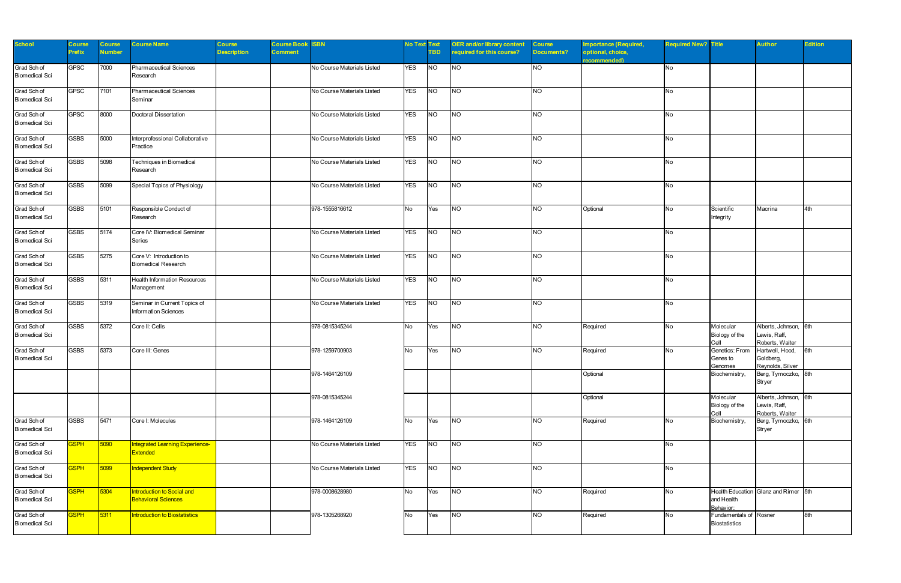| <b>School</b>                        | Course<br><b>Prefix</b> | Course<br><b>Number</b> | <b>Course Name</b>                                          | Course<br><b>Description</b> | <b>Course Book ISBN</b><br>Comment |                            | <b>No Text Text</b> | <b>TBD</b> | <b>OER and/or library content</b><br>required for this course? | <b>Course</b><br><b>Documents?</b> | Importance (Required,<br>optional, choice,<br>ecommended) | <b>Required New? Title</b> |                                                | <b>Author</b>                                            | <b>Edition</b> |
|--------------------------------------|-------------------------|-------------------------|-------------------------------------------------------------|------------------------------|------------------------------------|----------------------------|---------------------|------------|----------------------------------------------------------------|------------------------------------|-----------------------------------------------------------|----------------------------|------------------------------------------------|----------------------------------------------------------|----------------|
| Grad Sch of<br><b>Biomedical Sci</b> | <b>GPSC</b>             | 7000                    | Pharmaceutical Sciences<br>Research                         |                              |                                    | No Course Materials Listed | <b>YES</b>          | <b>NO</b>  | <b>NO</b>                                                      | <b>NO</b>                          |                                                           | No                         |                                                |                                                          |                |
| Grad Sch of<br><b>Biomedical Sci</b> | <b>GPSC</b>             | 7101                    | Pharmaceutical Sciences<br>Seminar                          |                              |                                    | No Course Materials Listed | <b>YES</b>          | <b>NO</b>  | <b>NO</b>                                                      | <b>NO</b>                          |                                                           | No                         |                                                |                                                          |                |
| Grad Sch of<br><b>Biomedical Sci</b> | <b>GPSC</b>             | 8000                    | Doctoral Dissertation                                       |                              |                                    | No Course Materials Listed | <b>YES</b>          | NO         | <b>NO</b>                                                      | <b>NO</b>                          |                                                           | No                         |                                                |                                                          |                |
| Grad Sch of<br><b>Biomedical Sci</b> | <b>GSBS</b>             | 5000                    | Interprofessional Collaborative<br>Practice                 |                              |                                    | No Course Materials Listed | <b>YES</b>          | <b>NO</b>  | <b>NO</b>                                                      | <b>NO</b>                          |                                                           | No                         |                                                |                                                          |                |
| Grad Sch of<br><b>Biomedical Sci</b> | <b>GSBS</b>             | 5098                    | Techniques in Biomedical<br>Research                        |                              |                                    | No Course Materials Listed | <b>YES</b>          | <b>NO</b>  | <b>NO</b>                                                      | <b>NO</b>                          |                                                           | No                         |                                                |                                                          |                |
| Grad Sch of<br><b>Biomedical Sci</b> | <b>GSBS</b>             | 5099                    | Special Topics of Physiology                                |                              |                                    | No Course Materials Listed | <b>YES</b>          | NO         | <b>NO</b>                                                      | <b>NO</b>                          |                                                           | No                         |                                                |                                                          |                |
| Grad Sch of<br><b>Biomedical Sci</b> | <b>GSBS</b>             | 5101                    | Responsible Conduct of<br>Research                          |                              |                                    | 978-1555816612             | <b>No</b>           | Yes        | NO                                                             | <b>NO</b>                          | Optional                                                  | <b>No</b>                  | Scientific<br>Integrity                        | Macrina                                                  | 4th            |
| Grad Sch of<br><b>Biomedical Sci</b> | <b>GSBS</b>             | 5174                    | Core IV: Biomedical Seminar<br>Series                       |                              |                                    | No Course Materials Listed | <b>YES</b>          | <b>NO</b>  | <b>NO</b>                                                      | <b>NO</b>                          |                                                           | No                         |                                                |                                                          |                |
| Grad Sch of<br><b>Biomedical Sci</b> | <b>GSBS</b>             | 5275                    | Core V: Introduction to<br><b>Biomedical Research</b>       |                              |                                    | No Course Materials Listed | <b>YES</b>          | N          | N                                                              | <b>NO</b>                          |                                                           | No                         |                                                |                                                          |                |
| Grad Sch of<br><b>Biomedical Sci</b> | <b>GSBS</b>             | 5311                    | <b>Health Information Resources</b><br>Management           |                              |                                    | No Course Materials Listed | <b>YES</b>          | <b>NO</b>  | <b>NO</b>                                                      | <b>NO</b>                          |                                                           | No                         |                                                |                                                          |                |
| Grad Sch of<br><b>Biomedical Sci</b> | <b>GSBS</b>             | 5319                    | Seminar in Current Topics of<br><b>Information Sciences</b> |                              |                                    | No Course Materials Listed | <b>YES</b>          | <b>NO</b>  | <b>NO</b>                                                      | <b>NO</b>                          |                                                           | No                         |                                                |                                                          |                |
| Grad Sch of<br><b>Biomedical Sci</b> | <b>GSBS</b>             | 5372                    | Core II: Cells                                              |                              |                                    | 978-0815345244             | <b>No</b>           | Yes        | <b>NO</b>                                                      | <b>NO</b>                          | Required                                                  | No                         | Molecular<br>Biology of the<br>Cell            | Alberts, Johnson, 6th<br>Lewis, Raff,<br>Roberts, Walter |                |
| Grad Sch of<br><b>Biomedical Sci</b> | <b>GSBS</b>             | 5373                    | Core III: Genes                                             |                              |                                    | 978-1259700903             | <b>No</b>           | Yes        | <b>NO</b>                                                      | <b>NO</b>                          | Required                                                  | No                         | Genetics: From<br>Genes to<br>Genomes          | Hartwell, Hood,<br>Goldberg,<br>Reynolds, Silver         | 6th            |
|                                      |                         |                         |                                                             |                              |                                    | 978-1464126109             |                     |            |                                                                |                                    | Optional                                                  |                            | Biochemistry,                                  | Berg, Tymoczko, 8th<br>Stryer                            |                |
|                                      |                         |                         |                                                             |                              |                                    | 978-0815345244             |                     |            |                                                                |                                    | Optional                                                  |                            | Molecular<br>Biology of the<br>Cell            | Alberts, Johnson, 6th<br>Lewis, Raff,<br>Roberts, Walter |                |
| Grad Sch of<br><b>Biomedical Sci</b> | <b>GSBS</b>             | 5471                    | Core I: Molecules                                           |                              |                                    | 978-1464126109             | <b>No</b>           | Yes        | <b>NO</b>                                                      | <b>NO</b>                          | Required                                                  | No                         | Biochemistry,                                  | Berg, Tymoczko, 6th<br><b>Stryer</b>                     |                |
| Grad Sch of<br><b>Biomedical Sci</b> | <b>SSPH</b>             | 5090                    | Integrated Learning Experience-<br>Extended                 |                              |                                    | No Course Materials Listed | <b>YES</b>          | <b>NO</b>  | N                                                              | <b>NO</b>                          |                                                           | No                         |                                                |                                                          |                |
| Grad Sch of<br><b>Biomedical Sci</b> | <b>GSPH</b>             | 5099                    | Independent Study                                           |                              |                                    | No Course Materials Listed | <b>YES</b>          | <b>NO</b>  | N                                                              | <b>NO</b>                          |                                                           | No                         |                                                |                                                          |                |
| Grad Sch of<br><b>Biomedical Sci</b> | <b>GSPH</b>             | 5304                    | Introduction to Social and<br><b>Behavioral Sciences</b>    |                              |                                    | 978-0008628980             | <b>No</b>           | Yes        | <b>NO</b>                                                      | <b>NO</b>                          | Required                                                  | <b>No</b>                  | and Health<br>Behavior:                        | Health Education Glanz and Rimer 5th                     |                |
| Grad Sch of<br><b>Biomedical Sci</b> | <b>GSPH</b>             | 5311                    | Introduction to Biostatistics                               |                              |                                    | 978-1305268920             | <b>No</b>           | Yes        | <b>NO</b>                                                      | <b>NO</b>                          | Required                                                  | No                         | Fundamentals of Rosner<br><b>Biostatistics</b> |                                                          | 8th            |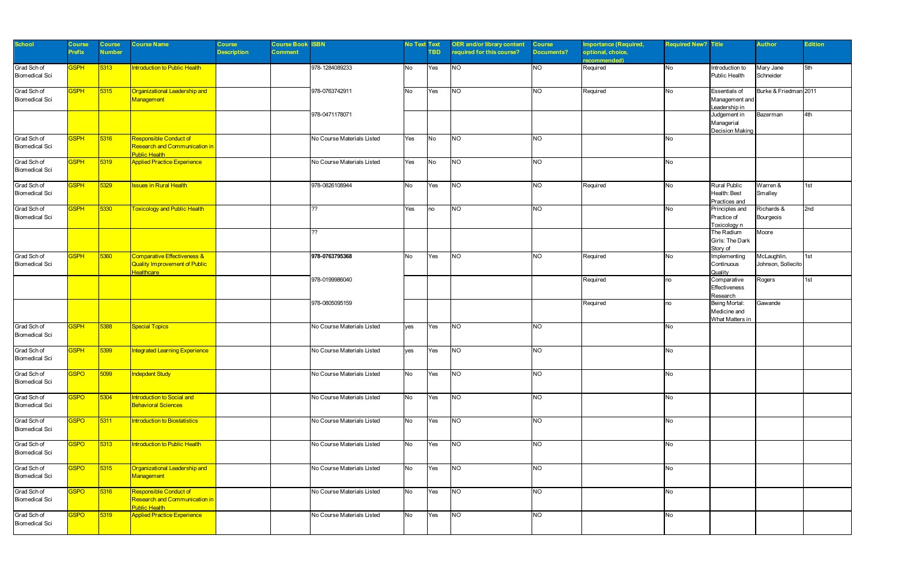| <b>School</b>                        | Course<br><b>Prefix</b> | <b>Course</b><br><b>Number</b> | <b>Course Name</b>                                                                     | <b>Course</b><br><b>Description</b> | <b>Course Book</b><br>Comment | <b>ISBN</b>                | <b>No Text Text</b> | TBD.      | <b>OER and/or library content</b><br>required for this course? | <b>Course</b><br>Documents? | mportance (Required,<br>optional, choice,<br>ecommended) | <b>Required New?</b> Title |                                                         | <b>Author</b>                     | <b>Edition</b> |
|--------------------------------------|-------------------------|--------------------------------|----------------------------------------------------------------------------------------|-------------------------------------|-------------------------------|----------------------------|---------------------|-----------|----------------------------------------------------------------|-----------------------------|----------------------------------------------------------|----------------------------|---------------------------------------------------------|-----------------------------------|----------------|
| Grad Sch of<br><b>Biomedical Sci</b> | <b>SSPH</b>             | 5313                           | Introduction to Public Health                                                          |                                     |                               | 978-1284089233             | <b>No</b>           | Yes       | NO                                                             | <b>NO</b>                   | Required                                                 | No                         | Introduction to<br>Public Health                        | Mary Jane<br>Schneider            | 5th            |
| Grad Sch of<br><b>Biomedical Sci</b> | <b>GSPH</b>             | 5315                           | Organizational Leadership and<br>Management                                            |                                     |                               | 978-0763742911             | <b>No</b>           | Yes       | <b>NO</b>                                                      | NO.                         | Required                                                 | No                         | <b>Essentials of</b><br>Management and<br>Leadership in | Burke & Friedman 2011             |                |
|                                      |                         |                                |                                                                                        |                                     |                               | 978-0471178071             |                     |           |                                                                |                             |                                                          |                            | Judgement in<br>Managerial<br><b>Decision Making</b>    | Bazerman                          | 4th            |
| Grad Sch of<br><b>Biomedical Sci</b> | <b>GSPH</b>             | 5316                           | Responsible Conduct of<br><b>Research and Communication in</b><br><b>Public Health</b> |                                     |                               | No Course Materials Listed | Yes                 | <b>No</b> | <b>NO</b>                                                      | <b>NO</b>                   |                                                          | No                         |                                                         |                                   |                |
| Grad Sch of<br><b>Biomedical Sci</b> | <b>GSPH</b>             | 5319                           | <b>Applied Practice Experience</b>                                                     |                                     |                               | No Course Materials Listed | Yes                 | <b>No</b> | <b>NO</b>                                                      | <b>NO</b>                   |                                                          | No                         |                                                         |                                   |                |
| Grad Sch of<br><b>Biomedical Sci</b> | <b>SSPH</b>             | 5329                           | <b>Issues in Rural Health</b>                                                          |                                     |                               | 978-0826108944             | <b>No</b>           | Yes       | <b>NO</b>                                                      | <b>NO</b>                   | Required                                                 | No                         | <b>Rural Public</b><br>Health: Best<br>Practices and    | Warren &<br>Smalley               | 1st            |
| Grad Sch of<br><b>Biomedical Sci</b> | <b>GSPH</b>             | 5330                           | <b>Toxicology and Public Health</b>                                                    |                                     |                               | ??                         | Yes                 | no        | NO                                                             | <b>NO</b>                   |                                                          | No                         | Principles and<br>Practice of<br>Toxicology n           | Richards &<br>Bourgeois           | 2nd            |
|                                      |                         |                                |                                                                                        |                                     |                               | ??                         |                     |           |                                                                |                             |                                                          |                            | The Radium<br>Girls: The Dark<br>Story of               | Moore                             |                |
| Grad Sch of<br><b>Biomedical Sci</b> | <b>SSPH</b>             | 5360                           | Comparative Effectiveness &<br><b>Quality Improvement of Public</b><br>Healthcare      |                                     |                               | 978-0763795368             | <b>No</b>           | Yes       | <b>NO</b>                                                      | <b>NO</b>                   | Required                                                 | No                         | Implementing<br>Continuous<br>Quality                   | McLaughlin,<br>Johnson, Sollecito | 1st            |
|                                      |                         |                                |                                                                                        |                                     |                               | 978-0199986040             |                     |           |                                                                |                             | Required                                                 | no                         | Comparative<br>Effectiveness<br>Research                | Rogers                            | 1st            |
|                                      |                         |                                |                                                                                        |                                     |                               | 978-0805095159             |                     |           |                                                                |                             | Required                                                 | no                         | Being Mortal:<br>Medicine and<br>What Matters in        | Gawande                           |                |
| Grad Sch of<br><b>Biomedical Sci</b> | <b>GSPH</b>             | 5388                           | Special Topics                                                                         |                                     |                               | No Course Materials Listed | ves                 | Yes       | NO                                                             | <b>NO</b>                   |                                                          | No                         |                                                         |                                   |                |
| Grad Sch of<br><b>Biomedical Sci</b> | <b>SSPH</b>             | 5399                           | ntegrated Learning Experience                                                          |                                     |                               | No Course Materials Listed | ves                 | Yes       | NO                                                             | <b>NO</b>                   |                                                          | No                         |                                                         |                                   |                |
| Grad Sch of<br><b>Biomedical Sci</b> | GSPO                    | 5099                           | <b>Indepdent Study</b>                                                                 |                                     |                               | No Course Materials Listed | No                  | Yes       | <b>NO</b>                                                      | <b>NO</b>                   |                                                          | No                         |                                                         |                                   |                |
| Grad Sch of<br><b>Biomedical Sci</b> | <b>GSPO</b>             | 5304                           | Introduction to Social and<br><b>Behavioral Sciences</b>                               |                                     |                               | No Course Materials Listed | <b>No</b>           | Yes       | <b>NO</b>                                                      | <b>NO</b>                   |                                                          | No                         |                                                         |                                   |                |
| Grad Sch of<br><b>Biomedical Sci</b> | <b>GSPO</b>             | 5311                           | <b>Introduction to Biostatistics</b>                                                   |                                     |                               | No Course Materials Listed | <b>No</b>           | Yes       | <b>NO</b>                                                      | NO                          |                                                          | No                         |                                                         |                                   |                |
| Grad Sch of<br><b>Biomedical Sci</b> | <b>GSPO</b>             | 5313                           | Introduction to Public Health                                                          |                                     |                               | No Course Materials Listed | <b>No</b>           | Yes       | N                                                              | <b>NO</b>                   |                                                          | No                         |                                                         |                                   |                |
| Grad Sch of<br><b>Biomedical Sci</b> | <b>GSPO</b>             | 5315                           | Organizational Leadership and<br>Management                                            |                                     |                               | No Course Materials Listed | <b>No</b>           | Yes       | <b>NO</b>                                                      | <b>NO</b>                   |                                                          | No                         |                                                         |                                   |                |
| Grad Sch of<br><b>Biomedical Sci</b> | <b>GSPO</b>             | 5316                           | <b>Responsible Conduct of</b><br>Research and Communication in<br><b>Public Health</b> |                                     |                               | No Course Materials Listed | <b>No</b>           | Yes       | <b>NO</b>                                                      | NO                          |                                                          | No                         |                                                         |                                   |                |
| Grad Sch of<br><b>Biomedical Sci</b> | <b>GSPO</b>             | 5319                           | <b>Applied Practice Experience</b>                                                     |                                     |                               | No Course Materials Listed | <b>No</b>           | Yes       | N                                                              | <b>NO</b>                   |                                                          | No                         |                                                         |                                   |                |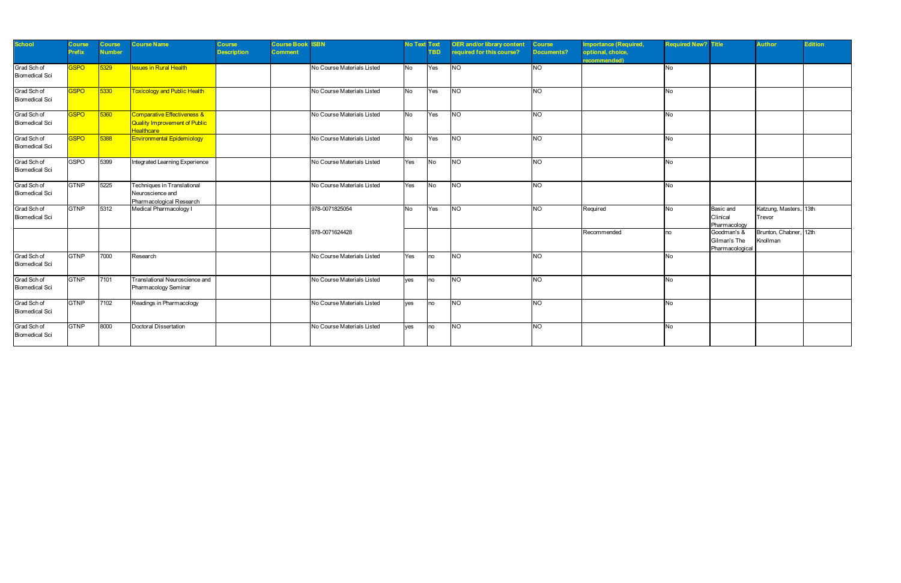| <b>School</b>                        | <b>Course</b><br><b>Prefix</b> | Course<br><b>Number</b> | <b>Course Name</b>                                                                | Course<br><b>Description</b> | <b>Course Book</b><br><b>Comment</b> | <b>ISBN</b>                | <b>No Text Text</b> | <b>TBD</b> | <b>OER and/or library content</b><br>equired for this course? | <b>Course</b><br><b>Documents?</b> | mportance (Required,<br>optional, choice,<br>recommended) | <b>Required New? Title</b> |                                               | <b>Author</b>                      | <b>Edition</b> |
|--------------------------------------|--------------------------------|-------------------------|-----------------------------------------------------------------------------------|------------------------------|--------------------------------------|----------------------------|---------------------|------------|---------------------------------------------------------------|------------------------------------|-----------------------------------------------------------|----------------------------|-----------------------------------------------|------------------------------------|----------------|
| Grad Sch of<br><b>Biomedical Sci</b> | <b>SPO</b>                     | 5329                    | <b>Issues in Rural Health</b>                                                     |                              |                                      | No Course Materials Listed | <b>No</b>           | Yes        | NO                                                            | <b>NO</b>                          |                                                           | No.                        |                                               |                                    |                |
| Grad Sch of<br><b>Biomedical Sci</b> | <b>SSPO</b>                    | 5330                    | <b>Toxicology and Public Health</b>                                               |                              |                                      | No Course Materials Listed | <b>No</b>           | Yes        | <b>NO</b>                                                     | <b>NO</b>                          |                                                           | No                         |                                               |                                    |                |
| Grad Sch of<br><b>Biomedical Sci</b> | <b>GSPO</b>                    | 5360                    | Comparative Effectiveness &<br>Quality Improvement of Public<br><b>Healthcare</b> |                              |                                      | No Course Materials Listed | No.                 | Yes        | <b>NO</b>                                                     | <b>NO</b>                          |                                                           | No.                        |                                               |                                    |                |
| Grad Sch of<br><b>Biomedical Sci</b> | <b>SSPO</b>                    | 5388                    | <b>Environmental Epidemiology</b>                                                 |                              |                                      | No Course Materials Listed | <b>No</b>           | Yes        | <b>NO</b>                                                     | <b>NO</b>                          |                                                           | No                         |                                               |                                    |                |
| Grad Sch of<br><b>Biomedical Sci</b> | <b>GSPO</b>                    | 5399                    | Integrated Learning Experience                                                    |                              |                                      | No Course Materials Listed | Yes                 | <b>No</b>  | <b>NO</b>                                                     | <b>NO</b>                          |                                                           | No                         |                                               |                                    |                |
| Grad Sch of<br><b>Biomedical Sci</b> | <b>GTNP</b>                    | 5225                    | Techniques in Translational<br>Neuroscience and<br>Pharmacological Research       |                              |                                      | No Course Materials Listed | Yes                 | <b>No</b>  | NO                                                            | <b>NO</b>                          |                                                           | No                         |                                               |                                    |                |
| Grad Sch of<br><b>Biomedical Sci</b> | <b>GTNP</b>                    | 5312                    | Medical Pharmacology I                                                            |                              |                                      | 978-0071825054             | <b>No</b>           | Yes        | <b>NO</b>                                                     | NO.                                | Required                                                  | <b>No</b>                  | Basic and<br>Clinical<br>Pharmacology         | Katzung, Masters, 13th<br>Trevor   |                |
|                                      |                                |                         |                                                                                   |                              |                                      | 978-0071624428             |                     |            |                                                               |                                    | Recommended                                               | no                         | Goodman's &<br>Gilman's The<br>Pharmacologica | Brunton, Chabner, 12th<br>Knollman |                |
| Grad Sch of<br><b>Biomedical Sci</b> | <b>GTNP</b>                    | 7000                    | Research                                                                          |                              |                                      | No Course Materials Listed | Yes                 | no         | NO                                                            | <b>NO</b>                          |                                                           | No                         |                                               |                                    |                |
| Grad Sch of<br><b>Biomedical Sci</b> | <b>GTNP</b>                    | 7101                    | Translational Neuroscience and<br>Pharmacology Seminar                            |                              |                                      | No Course Materials Listed | ves                 | no         | <b>NO</b>                                                     | <b>NO</b>                          |                                                           | No                         |                                               |                                    |                |
| Grad Sch of<br><b>Biomedical Sci</b> | <b>GTNP</b>                    | 7102                    | Readings in Pharmacology                                                          |                              |                                      | No Course Materials Listed | ves                 | <b>no</b>  | <b>NO</b>                                                     | <b>NO</b>                          |                                                           | No                         |                                               |                                    |                |
| Grad Sch of<br><b>Biomedical Sci</b> | <b>GTNP</b>                    | 8000                    | Doctoral Dissertation                                                             |                              |                                      | No Course Materials Listed | ves                 | no         | <b>NO</b>                                                     | <b>NO</b>                          |                                                           | No                         |                                               |                                    |                |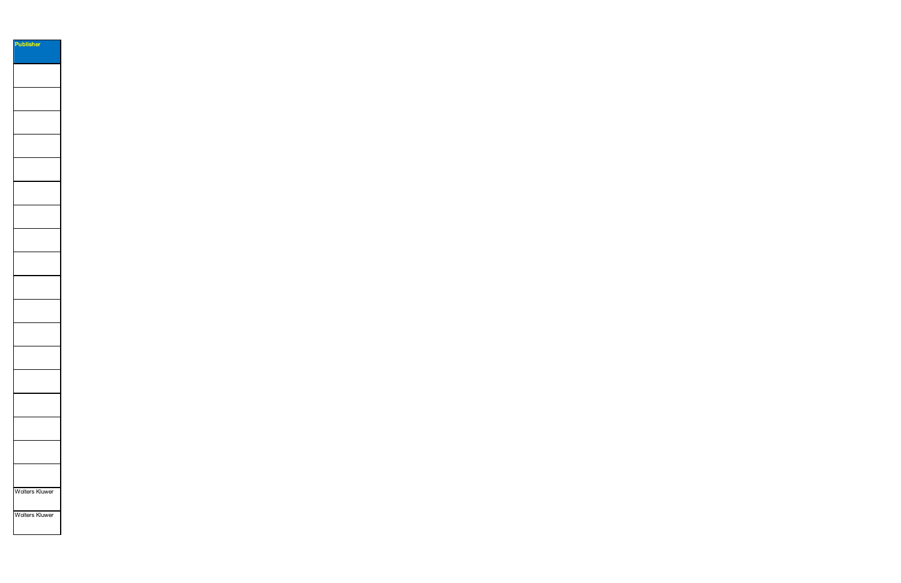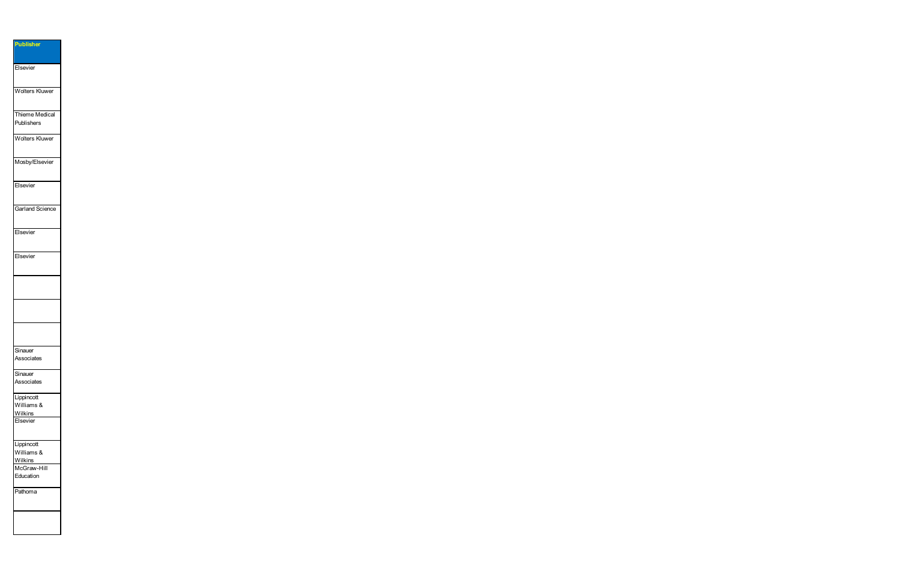| <b>Publisher</b>                    |
|-------------------------------------|
| Elsevier                            |
| Wolters Kluwer                      |
| Thieme Medical<br>Publishers        |
| <b>Wolters Kluwer</b>               |
| Mosby/Elsevier                      |
| Elsevier                            |
| Garland Science                     |
| Elsevier                            |
| Elsevier                            |
|                                     |
|                                     |
|                                     |
| Sinauer<br>Associates               |
| Sinauer<br>Associates               |
| Lippincott<br>Williams &            |
| <b>Wilkins</b><br>Elsevier          |
| Lippincott<br>Williams &            |
| Wilkins<br>McGraw-Hill<br>Education |
| Pathoma                             |
|                                     |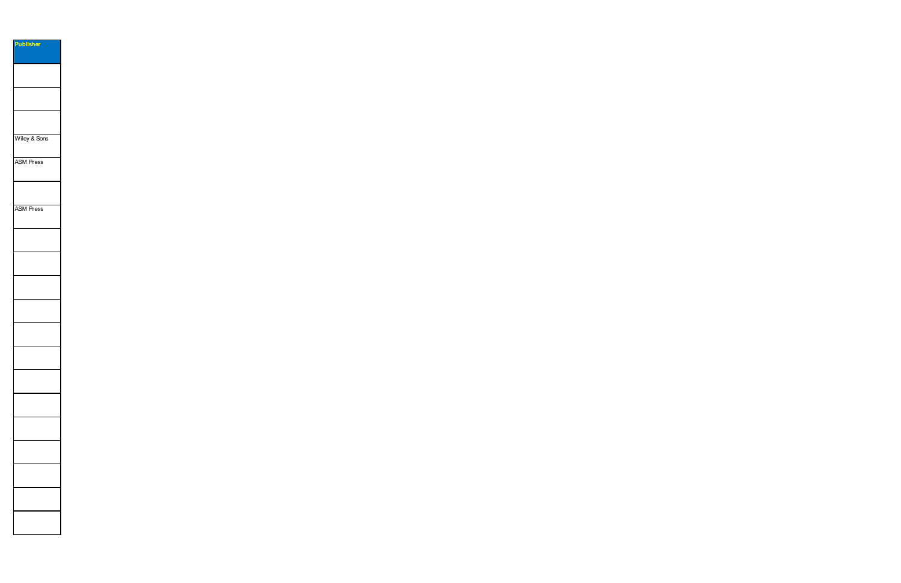| <b>Publisher</b> |
|------------------|
|                  |
|                  |
|                  |
|                  |
|                  |
|                  |
|                  |
|                  |
|                  |
|                  |
|                  |
|                  |
| Wiley & Sons     |
|                  |
|                  |
| <b>ASM Press</b> |
|                  |
|                  |
|                  |
|                  |
|                  |
| <b>ASM Press</b> |
|                  |
|                  |
|                  |
|                  |
|                  |
|                  |
|                  |
|                  |
|                  |
|                  |
|                  |
|                  |
|                  |
|                  |
|                  |
|                  |
|                  |
|                  |
|                  |
|                  |
|                  |
|                  |
|                  |
|                  |
|                  |
|                  |
|                  |
|                  |
|                  |
|                  |
|                  |
|                  |
|                  |
|                  |
|                  |
|                  |
|                  |
|                  |
|                  |
|                  |
|                  |
|                  |
|                  |
|                  |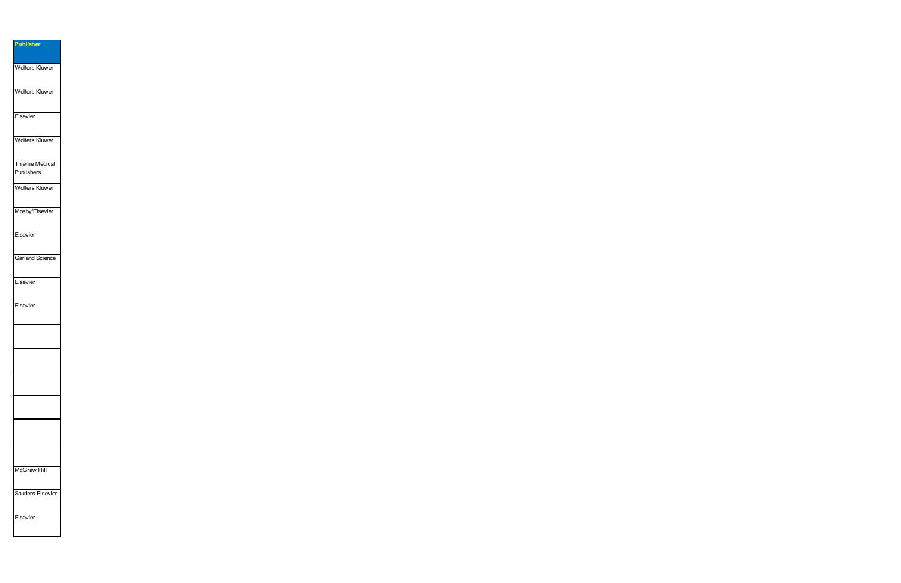**Publisher** Wolters Kluwer Wolters Kluwer Elsevier Wolters Kluwer Thieme Medical Publishers Wolters Kluwer Mosby/Elsevier Elsevier Garland Science Elsevier Elsevier McGraw Hill Sauders Elsevier Elsevier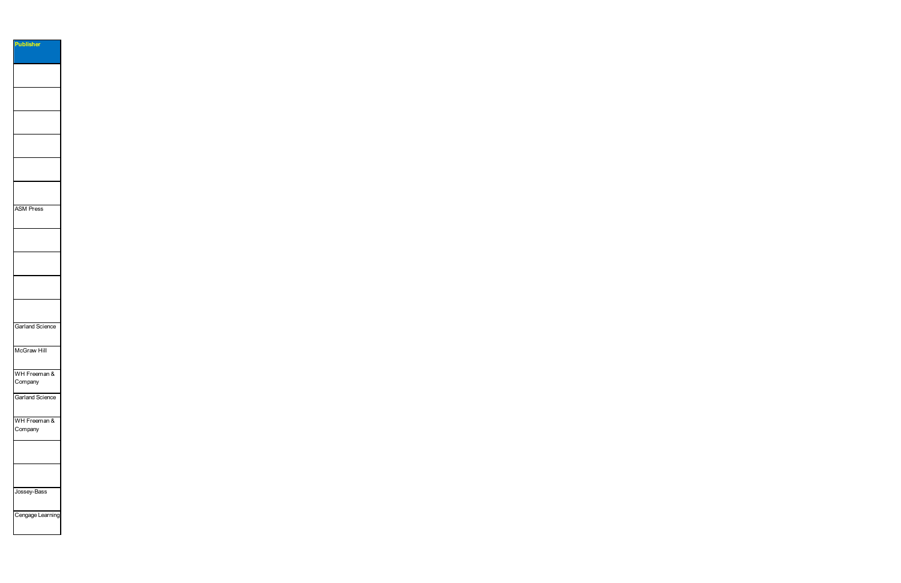| Publisher              |  |
|------------------------|--|
|                        |  |
|                        |  |
|                        |  |
|                        |  |
|                        |  |
|                        |  |
|                        |  |
|                        |  |
|                        |  |
|                        |  |
|                        |  |
|                        |  |
|                        |  |
|                        |  |
|                        |  |
|                        |  |
|                        |  |
|                        |  |
|                        |  |
|                        |  |
|                        |  |
|                        |  |
|                        |  |
| <b>ASM Press</b>       |  |
|                        |  |
|                        |  |
|                        |  |
|                        |  |
|                        |  |
|                        |  |
|                        |  |
|                        |  |
|                        |  |
|                        |  |
|                        |  |
|                        |  |
|                        |  |
|                        |  |
|                        |  |
|                        |  |
| <b>Garland Science</b> |  |
|                        |  |
|                        |  |
| McGraw Hill            |  |
|                        |  |
|                        |  |
|                        |  |
| WH Freeman &           |  |
| Company                |  |
|                        |  |
| <b>Garland Science</b> |  |
|                        |  |
|                        |  |
|                        |  |
| WH Freeman &           |  |
| Company                |  |
|                        |  |
|                        |  |
|                        |  |
|                        |  |
|                        |  |
|                        |  |
|                        |  |
|                        |  |
| Jossey-Bass            |  |
|                        |  |
|                        |  |

Cengage Learning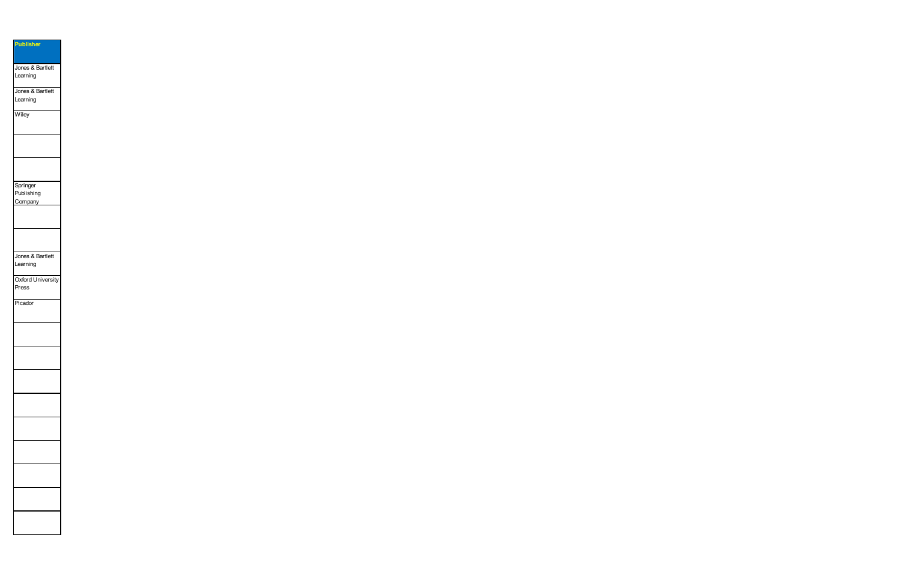| <b>Publisher</b>         |  |
|--------------------------|--|
|                          |  |
| Jones & Bartlett         |  |
| Learning                 |  |
|                          |  |
| Jones & Bartlett         |  |
| Learning                 |  |
|                          |  |
| Wiley                    |  |
|                          |  |
|                          |  |
|                          |  |
|                          |  |
|                          |  |
|                          |  |
|                          |  |
| Springer                 |  |
| Publishing               |  |
| Company                  |  |
|                          |  |
|                          |  |
|                          |  |
|                          |  |
|                          |  |
|                          |  |
| Jones & Bartlett         |  |
| Learning                 |  |
|                          |  |
| <b>Oxford University</b> |  |
| Press                    |  |
|                          |  |
| Picador                  |  |
|                          |  |
|                          |  |
|                          |  |
|                          |  |
|                          |  |
|                          |  |
|                          |  |
|                          |  |
|                          |  |
|                          |  |
|                          |  |
|                          |  |
|                          |  |
|                          |  |
|                          |  |
|                          |  |
|                          |  |
|                          |  |
|                          |  |
|                          |  |
|                          |  |
|                          |  |
|                          |  |
|                          |  |
|                          |  |
|                          |  |
|                          |  |